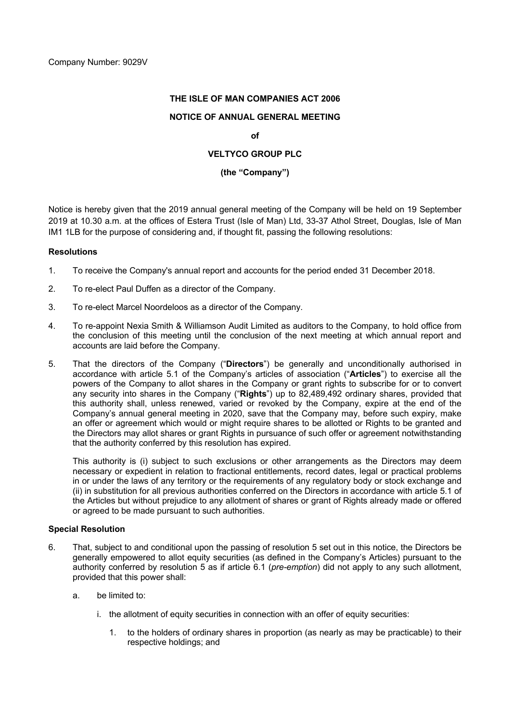# **THE ISLE OF MAN COMPANIES ACT 2006**

# **NOTICE OF ANNUAL GENERAL MEETING**

## **of**

# **VELTYCO GROUP PLC**

## **(the "Company")**

Notice is hereby given that the 2019 annual general meeting of the Company will be held on 19 September 2019 at 10.30 a.m. at the offices of Estera Trust (Isle of Man) Ltd, 33-37 Athol Street, Douglas, Isle of Man IM1 1LB for the purpose of considering and, if thought fit, passing the following resolutions:

## **Resolutions**

- 1. To receive the Company's annual report and accounts for the period ended 31 December 2018.
- 2. To re-elect Paul Duffen as a director of the Company.
- 3. To re-elect Marcel Noordeloos as a director of the Company.
- 4. To re-appoint Nexia Smith & Williamson Audit Limited as auditors to the Company, to hold office from the conclusion of this meeting until the conclusion of the next meeting at which annual report and accounts are laid before the Company.
- 5. That the directors of the Company ("**Directors**") be generally and unconditionally authorised in accordance with article 5.1 of the Company's articles of association ("**Articles**") to exercise all the powers of the Company to allot shares in the Company or grant rights to subscribe for or to convert any security into shares in the Company ("**Rights**") up to 82,489,492 ordinary shares, provided that this authority shall, unless renewed, varied or revoked by the Company, expire at the end of the Company's annual general meeting in 2020, save that the Company may, before such expiry, make an offer or agreement which would or might require shares to be allotted or Rights to be granted and the Directors may allot shares or grant Rights in pursuance of such offer or agreement notwithstanding that the authority conferred by this resolution has expired.

This authority is (i) subject to such exclusions or other arrangements as the Directors may deem necessary or expedient in relation to fractional entitlements, record dates, legal or practical problems in or under the laws of any territory or the requirements of any regulatory body or stock exchange and (ii) in substitution for all previous authorities conferred on the Directors in accordance with article 5.1 of the Articles but without prejudice to any allotment of shares or grant of Rights already made or offered or agreed to be made pursuant to such authorities.

# **Special Resolution**

- 6. That, subject to and conditional upon the passing of resolution 5 set out in this notice, the Directors be generally empowered to allot equity securities (as defined in the Company's Articles) pursuant to the authority conferred by resolution 5 as if article 6.1 (*pre-emption*) did not apply to any such allotment, provided that this power shall:
	- a. be limited to:
		- i. the allotment of equity securities in connection with an offer of equity securities:
			- 1. to the holders of ordinary shares in proportion (as nearly as may be practicable) to their respective holdings; and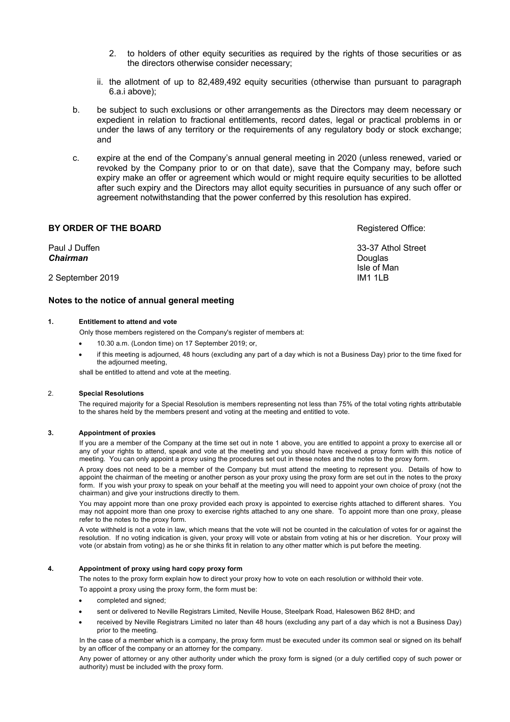- 2. to holders of other equity securities as required by the rights of those securities or as the directors otherwise consider necessary;
- ii. the allotment of up to 82,489,492 equity securities (otherwise than pursuant to paragraph 6.a.i above);
- b. be subject to such exclusions or other arrangements as the Directors may deem necessary or expedient in relation to fractional entitlements, record dates, legal or practical problems in or under the laws of any territory or the requirements of any regulatory body or stock exchange; and
- c. expire at the end of the Company's annual general meeting in 2020 (unless renewed, varied or revoked by the Company prior to or on that date), save that the Company may, before such expiry make an offer or agreement which would or might require equity securities to be allotted after such expiry and the Directors may allot equity securities in pursuance of any such offer or agreement notwithstanding that the power conferred by this resolution has expired.

## **BY ORDER OF THE BOARD**

Paul J Duffen *Chairman* 2 September 2019 33-37 Athol Street **Douglas** Isle of Man IM1 1LB

### **Notes to the notice of annual general meeting**

### **1. Entitlement to attend and vote**

Only those members registered on the Company's register of members at:

- 10.30 a.m. (London time) on 17 September 2019; or,
- if this meeting is adjourned, 48 hours (excluding any part of a day which is not a Business Day) prior to the time fixed for the adjourned meeting,

shall be entitled to attend and vote at the meeting.

#### 2. **Special Resolutions**

The required majority for a Special Resolution is members representing not less than 75% of the total voting rights attributable to the shares held by the members present and voting at the meeting and entitled to vote.

#### **3. Appointment of proxies**

If you are a member of the Company at the time set out in note 1 above, you are entitled to appoint a proxy to exercise all or any of your rights to attend, speak and vote at the meeting and you should have received a proxy form with this notice of meeting. You can only appoint a proxy using the procedures set out in these notes and the notes to the proxy form.

A proxy does not need to be a member of the Company but must attend the meeting to represent you. Details of how to appoint the chairman of the meeting or another person as your proxy using the proxy form are set out in the notes to the proxy form. If you wish your proxy to speak on your behalf at the meeting you will need to appoint your own choice of proxy (not the chairman) and give your instructions directly to them.

You may appoint more than one proxy provided each proxy is appointed to exercise rights attached to different shares. You may not appoint more than one proxy to exercise rights attached to any one share. To appoint more than one proxy, please refer to the notes to the proxy form.

A vote withheld is not a vote in law, which means that the vote will not be counted in the calculation of votes for or against the resolution. If no voting indication is given, your proxy will vote or abstain from voting at his or her discretion. Your proxy will vote (or abstain from voting) as he or she thinks fit in relation to any other matter which is put before the meeting.

### **4. Appointment of proxy using hard copy proxy form**

The notes to the proxy form explain how to direct your proxy how to vote on each resolution or withhold their vote.

To appoint a proxy using the proxy form, the form must be:

- completed and signed;
- sent or delivered to Neville Registrars Limited, Neville House, Steelpark Road, Halesowen B62 8HD; and
- received by Neville Registrars Limited no later than 48 hours (excluding any part of a day which is not a Business Day) prior to the meeting.

In the case of a member which is a company, the proxy form must be executed under its common seal or signed on its behalf by an officer of the company or an attorney for the company.

Any power of attorney or any other authority under which the proxy form is signed (or a duly certified copy of such power or authority) must be included with the proxy form.

Registered Office: